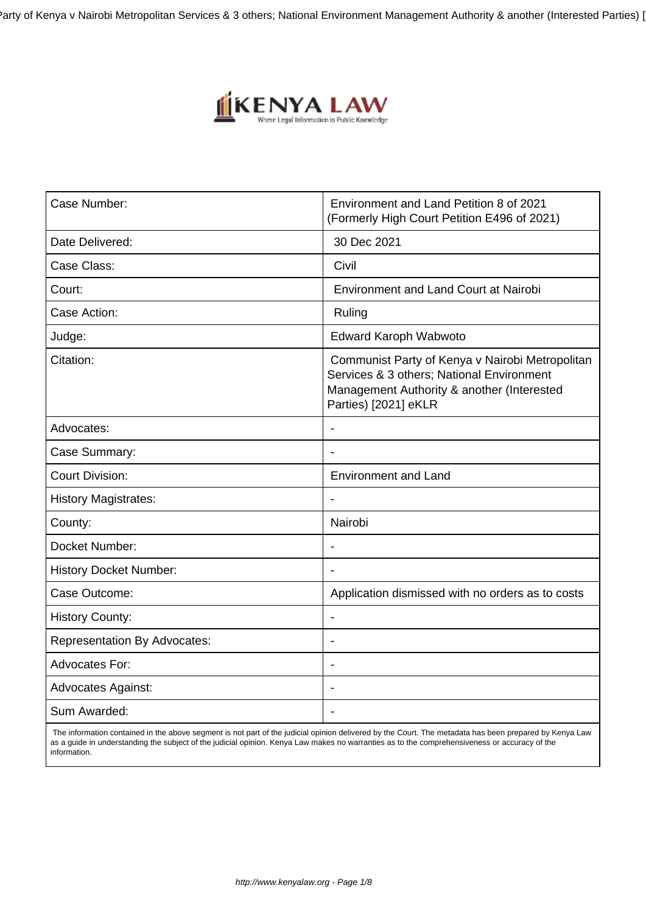Party of Kenya v Nairobi Metropolitan Services & 3 others; National Environment Management Authority & another (Interested Parties)



| Case Number:                        | Environment and Land Petition 8 of 2021<br>(Formerly High Court Petition E496 of 2021)                                                                             |
|-------------------------------------|--------------------------------------------------------------------------------------------------------------------------------------------------------------------|
| Date Delivered:                     | 30 Dec 2021                                                                                                                                                        |
| Case Class:                         | Civil                                                                                                                                                              |
| Court:                              | <b>Environment and Land Court at Nairobi</b>                                                                                                                       |
| Case Action:                        | Ruling                                                                                                                                                             |
| Judge:                              | <b>Edward Karoph Wabwoto</b>                                                                                                                                       |
| Citation:                           | Communist Party of Kenya v Nairobi Metropolitan<br>Services & 3 others; National Environment<br>Management Authority & another (Interested<br>Parties) [2021] eKLR |
| Advocates:                          | Ĭ.                                                                                                                                                                 |
| Case Summary:                       | $\blacksquare$                                                                                                                                                     |
| <b>Court Division:</b>              | <b>Environment and Land</b>                                                                                                                                        |
| <b>History Magistrates:</b>         |                                                                                                                                                                    |
| County:                             | Nairobi                                                                                                                                                            |
| Docket Number:                      |                                                                                                                                                                    |
| <b>History Docket Number:</b>       |                                                                                                                                                                    |
| Case Outcome:                       | Application dismissed with no orders as to costs                                                                                                                   |
| <b>History County:</b>              | $\overline{a}$                                                                                                                                                     |
| <b>Representation By Advocates:</b> | $\blacksquare$                                                                                                                                                     |
| <b>Advocates For:</b>               |                                                                                                                                                                    |
| <b>Advocates Against:</b>           |                                                                                                                                                                    |
| Sum Awarded:                        | $\blacksquare$                                                                                                                                                     |

 The information contained in the above segment is not part of the judicial opinion delivered by the Court. The metadata has been prepared by Kenya Law as a guide in understanding the subject of the judicial opinion. Kenya Law makes no warranties as to the comprehensiveness or accuracy of the information.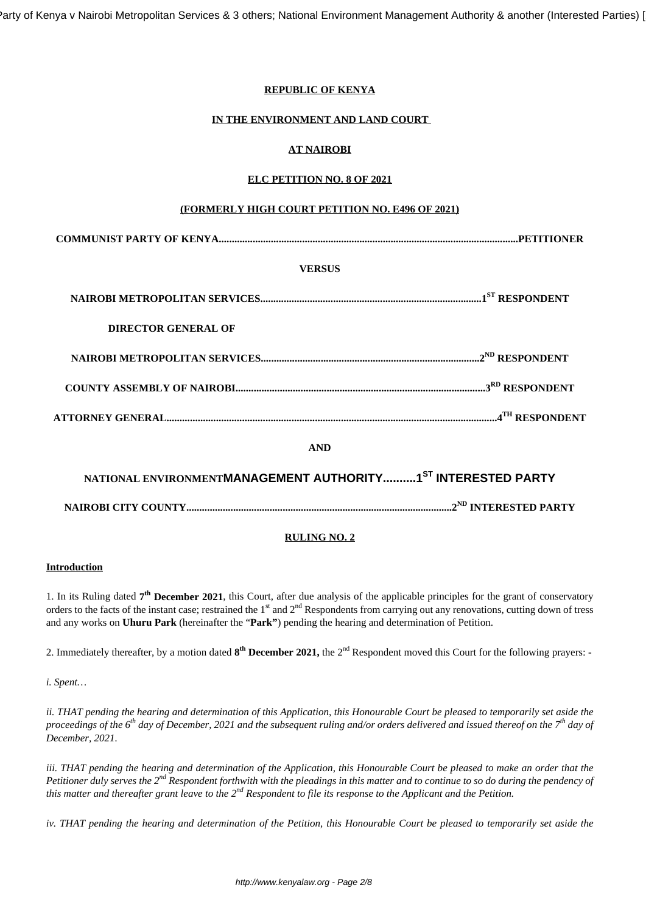Party of Kenya v Nairobi Metropolitan Services & 3 others; National Environment Management Authority & another (Interested Parties)

### **REPUBLIC OF KENYA**

### **IN THE ENVIRONMENT AND LAND COURT**

### **AT NAIROBI**

### **ELC PETITION NO. 8 OF 2021**

### **(FORMERLY HIGH COURT PETITION NO. E496 OF 2021)**

### **VERSUS**

| DIRECTOR GENERAL OF |  |
|---------------------|--|
|                     |  |
|                     |  |
|                     |  |
| A NITY              |  |

**AND**

| NATIONAL ENVIRONMENTMANAGEMENT AUTHORITY1 <sup>ST</sup> INTERESTED PARTY |  |
|--------------------------------------------------------------------------|--|
|                                                                          |  |

### **RULING NO. 2**

### **Introduction**

1. In its Ruling dated 7<sup>th</sup> December 2021, this Court, after due analysis of the applicable principles for the grant of conservatory orders to the facts of the instant case; restrained the  $1<sup>st</sup>$  and  $2<sup>nd</sup>$  Respondents from carrying out any renovations, cutting down of tress and any works on **Uhuru Park** (hereinafter the "**Park"**) pending the hearing and determination of Petition.

2. Immediately thereafter, by a motion dated  $8^{th}$  December 2021, the 2<sup>nd</sup> Respondent moved this Court for the following prayers: -

*i. Spent…*

*ii. THAT pending the hearing and determination of this Application, this Honourable Court be pleased to temporarily set aside the proceedings of the 6th day of December, 2021 and the subsequent ruling and/or orders delivered and issued thereof on the 7th day of December, 2021.*

*iii. THAT pending the hearing and determination of the Application, this Honourable Court be pleased to make an order that the Petitioner duly serves the 2nd Respondent forthwith with the pleadings in this matter and to continue to so do during the pendency of this matter and thereafter grant leave to the 2nd Respondent to file its response to the Applicant and the Petition.*

*iv. THAT pending the hearing and determination of the Petition, this Honourable Court be pleased to temporarily set aside the*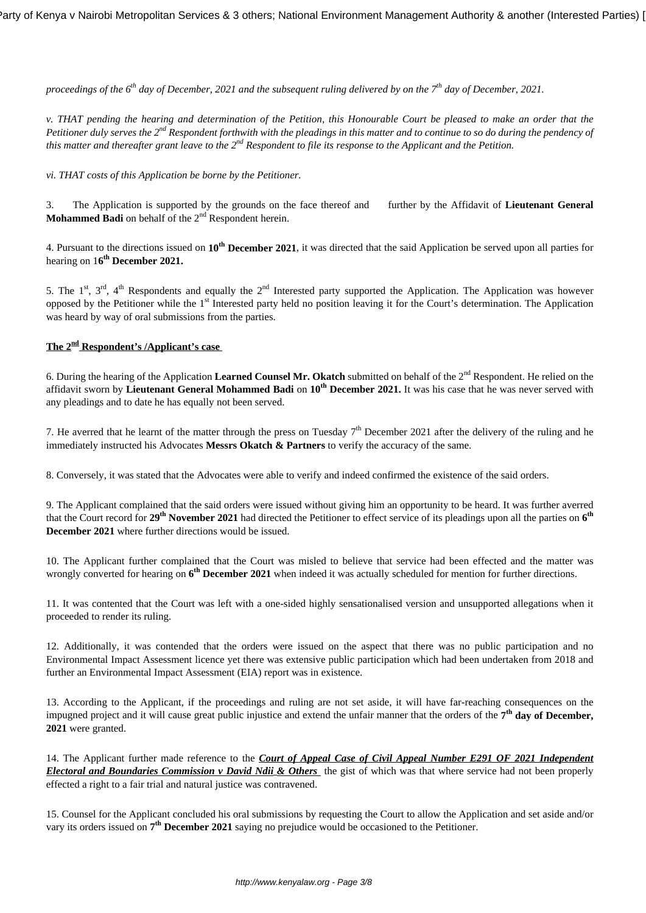*proceedings of the 6th day of December, 2021 and the subsequent ruling delivered by on the 7th day of December, 2021.*

*v. THAT pending the hearing and determination of the Petition, this Honourable Court be pleased to make an order that the Petitioner duly serves the 2<sup>nd</sup> Respondent forthwith with the pleadings in this matter and to continue to so do during the pendency of this matter and thereafter grant leave to the 2nd Respondent to file its response to the Applicant and the Petition.*

*vi. THAT costs of this Application be borne by the Petitioner.* 

3. The Application is supported by the grounds on the face thereof and further by the Affidavit of **Lieutenant General Mohammed Badi** on behalf of the 2<sup>nd</sup> Respondent herein.

4. Pursuant to the directions issued on **10th December 2021**, it was directed that the said Application be served upon all parties for hearing on 1**6 th December 2021.**

5. The 1<sup>st</sup>, 3<sup>rd</sup>, 4<sup>th</sup> Respondents and equally the 2<sup>nd</sup> Interested party supported the Application. The Application was however opposed by the Petitioner while the 1st Interested party held no position leaving it for the Court's determination. The Application was heard by way of oral submissions from the parties.

## **The 2nd Respondent's /Applicant's case**

6. During the hearing of the Application Learned Counsel Mr. Okatch submitted on behalf of the 2<sup>nd</sup> Respondent. He relied on the affidavit sworn by **Lieutenant General Mohammed Badi** on **10th December 2021.** It was his case that he was never served with any pleadings and to date he has equally not been served.

7. He averred that he learnt of the matter through the press on Tuesday  $7<sup>th</sup>$  December 2021 after the delivery of the ruling and he immediately instructed his Advocates **Messrs Okatch & Partners** to verify the accuracy of the same.

8. Conversely, it was stated that the Advocates were able to verify and indeed confirmed the existence of the said orders.

9. The Applicant complained that the said orders were issued without giving him an opportunity to be heard. It was further averred that the Court record for **29th November 2021** had directed the Petitioner to effect service of its pleadings upon all the parties on **6 th December 2021** where further directions would be issued.

10. The Applicant further complained that the Court was misled to believe that service had been effected and the matter was wrongly converted for hearing on **6 th December 2021** when indeed it was actually scheduled for mention for further directions.

11. It was contented that the Court was left with a one-sided highly sensationalised version and unsupported allegations when it proceeded to render its ruling.

12. Additionally, it was contended that the orders were issued on the aspect that there was no public participation and no Environmental Impact Assessment licence yet there was extensive public participation which had been undertaken from 2018 and further an Environmental Impact Assessment (EIA) report was in existence.

13. According to the Applicant, if the proceedings and ruling are not set aside, it will have far-reaching consequences on the impugned project and it will cause great public injustice and extend the unfair manner that the orders of the 7<sup>th</sup> day of December, **2021** were granted.

14. The Applicant further made reference to the *Court of Appeal Case of Civil Appeal Number E291 OF 2021 Independent Electoral and Boundaries Commission v David Ndii & Others* the gist of which was that where service had not been properly effected a right to a fair trial and natural justice was contravened.

15. Counsel for the Applicant concluded his oral submissions by requesting the Court to allow the Application and set aside and/or vary its orders issued on **7 th December 2021** saying no prejudice would be occasioned to the Petitioner.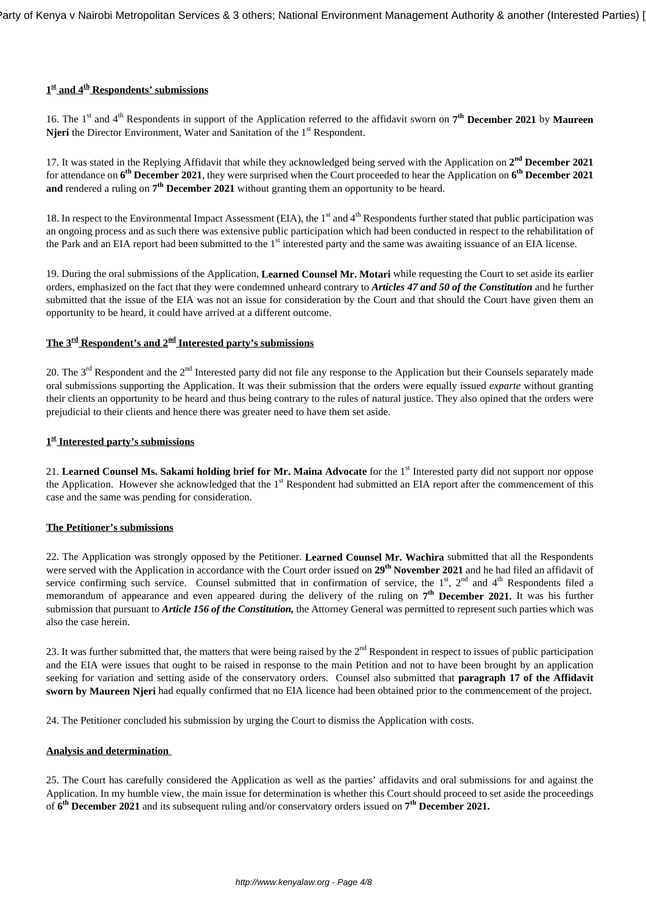# **1 st and 4th Respondents' submissions**

16. The 1<sup>st</sup> and 4<sup>th</sup> Respondents in support of the Application referred to the affidavit sworn on 7<sup>th</sup> December 2021 by Maureen **Njeri** the Director Environment, Water and Sanitation of the 1<sup>st</sup> Respondent.

17. It was stated in the Replying Affidavit that while they acknowledged being served with the Application on  $2^{nd}$  December 2021 for attendance on **6 th December 2021**, they were surprised when the Court proceeded to hear the Application on **6 th December 2021 and** rendered a ruling on  $7^{th}$  **December 2021** without granting them an opportunity to be heard.

18. In respect to the Environmental Impact Assessment (EIA), the  $1<sup>st</sup>$  and  $4<sup>th</sup>$  Respondents further stated that public participation was an ongoing process and as such there was extensive public participation which had been conducted in respect to the rehabilitation of the Park and an EIA report had been submitted to the 1<sup>st</sup> interested party and the same was awaiting issuance of an EIA license.

19. During the oral submissions of the Application, **Learned Counsel Mr. Motari** while requesting the Court to set aside its earlier orders, emphasized on the fact that they were condemned unheard contrary to *Articles 47 and 50 of the Constitution* and he further submitted that the issue of the EIA was not an issue for consideration by the Court and that should the Court have given them an opportunity to be heard, it could have arrived at a different outcome.

# **The 3rd Respondent's and 2nd Interested party's submissions**

20. The  $3<sup>rd</sup>$  Respondent and the  $2<sup>nd</sup>$  Interested party did not file any response to the Application but their Counsels separately made oral submissions supporting the Application. It was their submission that the orders were equally issued *exparte* without granting their clients an opportunity to be heard and thus being contrary to the rules of natural justice. They also opined that the orders were prejudicial to their clients and hence there was greater need to have them set aside.

# **1 st Interested party's submissions**

21. **Learned Counsel Ms. Sakami holding brief for Mr. Maina Advocate** for the 1st Interested party did not support nor oppose the Application. However she acknowledged that the  $1<sup>st</sup>$  Respondent had submitted an EIA report after the commencement of this case and the same was pending for consideration.

### **The Petitioner's submissions**

22. The Application was strongly opposed by the Petitioner. **Learned Counsel Mr. Wachira** submitted that all the Respondents were served with the Application in accordance with the Court order issued on **29th November 2021** and he had filed an affidavit of service confirming such service. Counsel submitted that in confirmation of service, the  $1<sup>st</sup>$ ,  $2<sup>nd</sup>$  and  $4<sup>th</sup>$  Respondents filed a memorandum of appearance and even appeared during the delivery of the ruling on  $7<sup>th</sup>$  December 2021. It was his further submission that pursuant to *Article 156 of the Constitution,* the Attorney General was permitted to represent such parties which was also the case herein.

23. It was further submitted that, the matters that were being raised by the 2<sup>nd</sup> Respondent in respect to issues of public participation and the EIA were issues that ought to be raised in response to the main Petition and not to have been brought by an application seeking for variation and setting aside of the conservatory orders. Counsel also submitted that **paragraph 17 of the Affidavit sworn by Maureen Njeri** had equally confirmed that no EIA licence had been obtained prior to the commencement of the project.

24. The Petitioner concluded his submission by urging the Court to dismiss the Application with costs.

### **Analysis and determination**

25. The Court has carefully considered the Application as well as the parties' affidavits and oral submissions for and against the Application. In my humble view, the main issue for determination is whether this Court should proceed to set aside the proceedings of **6 th December 2021** and its subsequent ruling and/or conservatory orders issued on **7 th December 2021.**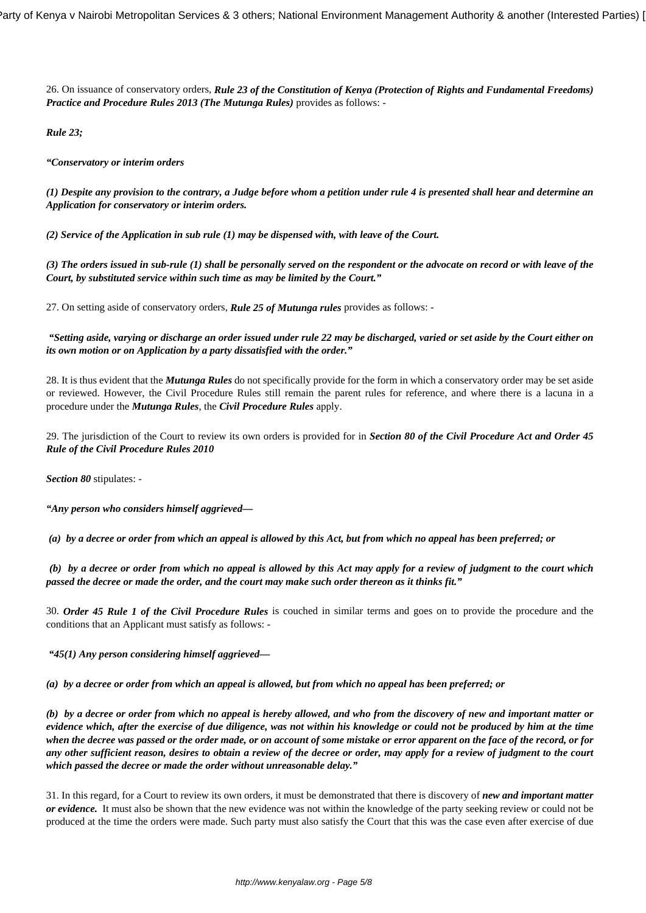26. On issuance of conservatory orders, *Rule 23 of the Constitution of Kenya (Protection of Rights and Fundamental Freedoms) Practice and Procedure Rules 2013 (The Mutunga Rules)* provides as follows: -

*Rule 23;*

*"Conservatory or interim orders*

*(1) Despite any provision to the contrary, a Judge before whom a petition under rule 4 is presented shall hear and determine an Application for conservatory or interim orders.*

*(2) Service of the Application in sub rule (1) may be dispensed with, with leave of the Court.*

*(3) The orders issued in sub-rule (1) shall be personally served on the respondent or the advocate on record or with leave of the Court, by substituted service within such time as may be limited by the Court."*

27. On setting aside of conservatory orders, *Rule 25 of Mutunga rules* provides as follows: -

*"Setting aside, varying or discharge an order issued under rule 22 may be discharged, varied or set aside by the Court either on its own motion or on Application by a party dissatisfied with the order."*

28. It is thus evident that the *Mutunga Rules* do not specifically provide for the form in which a conservatory order may be set aside or reviewed. However, the Civil Procedure Rules still remain the parent rules for reference, and where there is a lacuna in a procedure under the *Mutunga Rules*, the *Civil Procedure Rules* apply.

29. The jurisdiction of the Court to review its own orders is provided for in *Section 80 of the Civil Procedure Act and Order 45 Rule of the Civil Procedure Rules 2010*

*Section 80* stipulates: -

*"Any person who considers himself aggrieved—*

*(a) by a decree or order from which an appeal is allowed by this Act, but from which no appeal has been preferred; or*

*(b) by a decree or order from which no appeal is allowed by this Act may apply for a review of judgment to the court which passed the decree or made the order, and the court may make such order thereon as it thinks fit."*

30. *Order 45 Rule 1 of the Civil Procedure Rules* is couched in similar terms and goes on to provide the procedure and the conditions that an Applicant must satisfy as follows: -

*"45(1) Any person considering himself aggrieved—*

*(a) by a decree or order from which an appeal is allowed, but from which no appeal has been preferred; or*

*(b) by a decree or order from which no appeal is hereby allowed, and who from the discovery of new and important matter or evidence which, after the exercise of due diligence, was not within his knowledge or could not be produced by him at the time when the decree was passed or the order made, or on account of some mistake or error apparent on the face of the record, or for any other sufficient reason, desires to obtain a review of the decree or order, may apply for a review of judgment to the court which passed the decree or made the order without unreasonable delay."*

31. In this regard, for a Court to review its own orders, it must be demonstrated that there is discovery of *new and important matter or evidence.* It must also be shown that the new evidence was not within the knowledge of the party seeking review or could not be produced at the time the orders were made. Such party must also satisfy the Court that this was the case even after exercise of due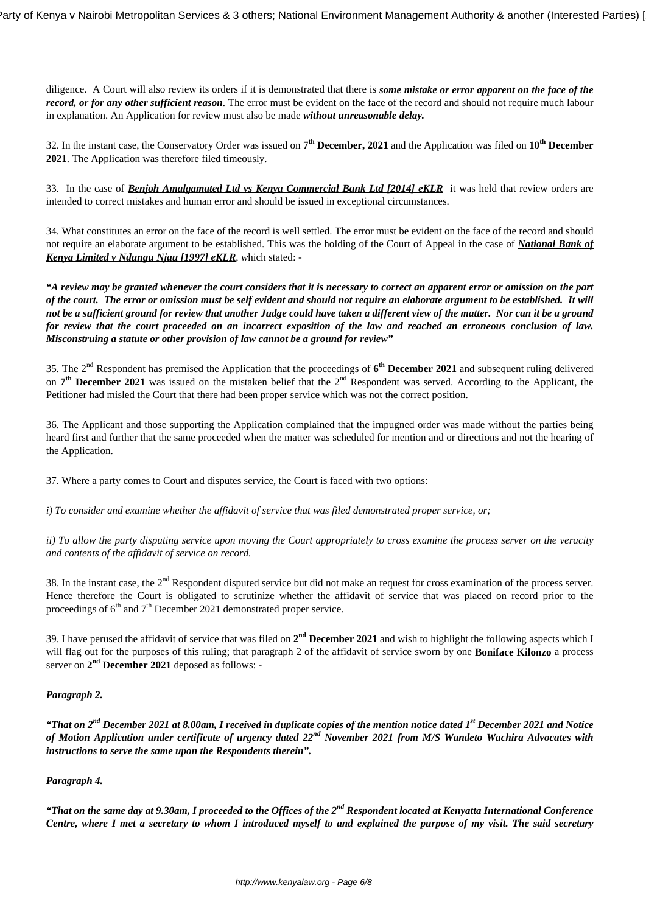diligence. A Court will also review its orders if it is demonstrated that there is *some mistake or error apparent on the face of the record, or for any other sufficient reason*. The error must be evident on the face of the record and should not require much labour in explanation. An Application for review must also be made *without unreasonable delay.*

32. In the instant case, the Conservatory Order was issued on **7 th December, 2021** and the Application was filed on **10th December 2021**. The Application was therefore filed timeously.

33. In the case of *Benjoh Amalgamated Ltd vs Kenya Commercial Bank Ltd [2014] eKLR* it was held that review orders are intended to correct mistakes and human error and should be issued in exceptional circumstances.

34. What constitutes an error on the face of the record is well settled. The error must be evident on the face of the record and should not require an elaborate argument to be established. This was the holding of the Court of Appeal in the case of *National Bank of Kenya Limited v Ndungu Njau [1997] eKLR, w*hich stated: -

*"A review may be granted whenever the court considers that it is necessary to correct an apparent error or omission on the part of the court. The error or omission must be self evident and should not require an elaborate argument to be established. It will not be a sufficient ground for review that another Judge could have taken a different view of the matter. Nor can it be a ground for review that the court proceeded on an incorrect exposition of the law and reached an erroneous conclusion of law. Misconstruing a statute or other provision of law cannot be a ground for review"*

35. The 2nd Respondent has premised the Application that the proceedings of **6 th December 2021** and subsequent ruling delivered on 7<sup>th</sup> December 2021 was issued on the mistaken belief that the 2<sup>nd</sup> Respondent was served. According to the Applicant, the Petitioner had misled the Court that there had been proper service which was not the correct position.

36. The Applicant and those supporting the Application complained that the impugned order was made without the parties being heard first and further that the same proceeded when the matter was scheduled for mention and or directions and not the hearing of the Application.

37. Where a party comes to Court and disputes service, the Court is faced with two options:

*i) To consider and examine whether the affidavit of service that was filed demonstrated proper service, or;*

*ii) To allow the party disputing service upon moving the Court appropriately to cross examine the process server on the veracity and contents of the affidavit of service on record.*

38. In the instant case, the 2<sup>nd</sup> Respondent disputed service but did not make an request for cross examination of the process server. Hence therefore the Court is obligated to scrutinize whether the affidavit of service that was placed on record prior to the proceedings of  $6<sup>th</sup>$  and  $7<sup>th</sup>$  December 2021 demonstrated proper service.

39. I have perused the affidavit of service that was filed on  $2<sup>nd</sup>$  December 2021 and wish to highlight the following aspects which I will flag out for the purposes of this ruling; that paragraph 2 of the affidavit of service sworn by one **Boniface Kilonzo** a process server on  $2<sup>nd</sup>$  **December 2021** deposed as follows: -

# *Paragraph 2.*

*"That on 2nd December 2021 at 8.00am, I received in duplicate copies of the mention notice dated 1st December 2021 and Notice of Motion Application under certificate of urgency dated 22nd November 2021 from M/S Wandeto Wachira Advocates with instructions to serve the same upon the Respondents therein".*

# *Paragraph 4.*

*"That on the same day at 9.30am, I proceeded to the Offices of the 2nd Respondent located at Kenyatta International Conference Centre, where I met a secretary to whom I introduced myself to and explained the purpose of my visit. The said secretary*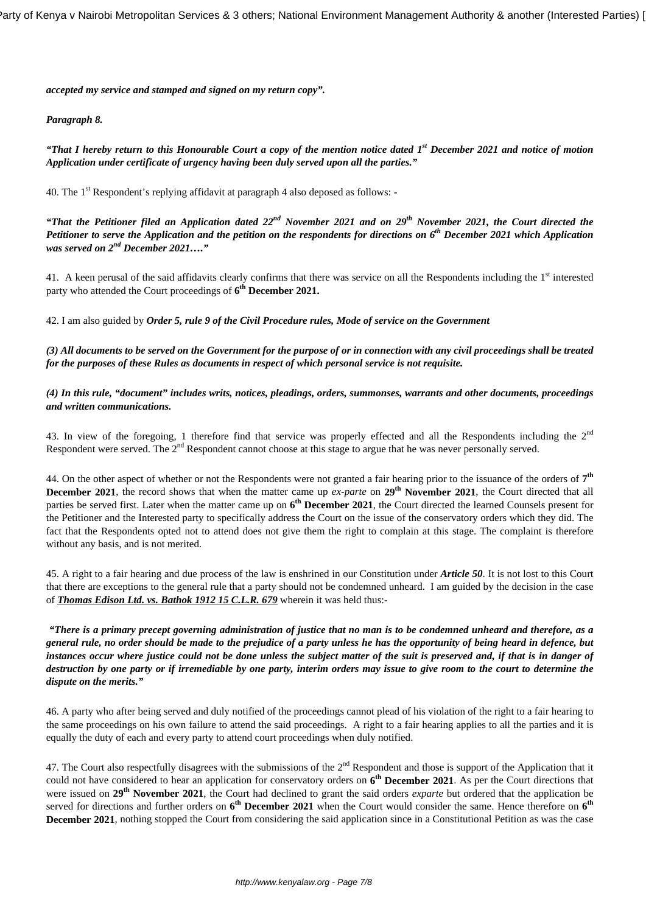*accepted my service and stamped and signed on my return copy".*

## *Paragraph 8.*

*"That I hereby return to this Honourable Court a copy of the mention notice dated 1st December 2021 and notice of motion Application under certificate of urgency having been duly served upon all the parties."*

40. The 1<sup>st</sup> Respondent's replying affidavit at paragraph 4 also deposed as follows: -

*"That the Petitioner filed an Application dated 22nd November 2021 and on 29th November 2021, the Court directed the Petitioner to serve the Application and the petition on the respondents for directions on 6th December 2021 which Application was served on 2nd December 2021…."*

41. A keen perusal of the said affidavits clearly confirms that there was service on all the Respondents including the 1<sup>st</sup> interested party who attended the Court proceedings of **6 th December 2021.**

42. I am also guided by *Order 5, rule 9 of the Civil Procedure rules, Mode of service on the Government* 

*(3) All documents to be served on the Government for the purpose of or in connection with any civil proceedings shall be treated for the purposes of these Rules as documents in respect of which personal service is not requisite.*

*(4) In this rule, "document" includes writs, notices, pleadings, orders, summonses, warrants and other documents, proceedings and written communications.*

43. In view of the foregoing, 1 therefore find that service was properly effected and all the Respondents including the  $2<sup>nd</sup>$ Respondent were served. The 2<sup>nd</sup> Respondent cannot choose at this stage to argue that he was never personally served.

44. On the other aspect of whether or not the Respondents were not granted a fair hearing prior to the issuance of the orders of **7 th December 2021**, the record shows that when the matter came up *ex-parte* on **29th November 2021**, the Court directed that all parties be served first. Later when the matter came up on **6 th December 2021**, the Court directed the learned Counsels present for the Petitioner and the Interested party to specifically address the Court on the issue of the conservatory orders which they did. The fact that the Respondents opted not to attend does not give them the right to complain at this stage. The complaint is therefore without any basis, and is not merited.

45. A right to a fair hearing and due process of the law is enshrined in our Constitution under *Article 50*. It is not lost to this Court that there are exceptions to the general rule that a party should not be condemned unheard. I am guided by the decision in the case of *Thomas Edison Ltd. vs. Bathok 1912 15 C.L.R. 679* wherein it was held thus:-

*"There is a primary precept governing administration of justice that no man is to be condemned unheard and therefore, as a general rule, no order should be made to the prejudice of a party unless he has the opportunity of being heard in defence, but instances occur where justice could not be done unless the subject matter of the suit is preserved and, if that is in danger of destruction by one party or if irremediable by one party, interim orders may issue to give room to the court to determine the dispute on the merits."*

46. A party who after being served and duly notified of the proceedings cannot plead of his violation of the right to a fair hearing to the same proceedings on his own failure to attend the said proceedings. A right to a fair hearing applies to all the parties and it is equally the duty of each and every party to attend court proceedings when duly notified.

47. The Court also respectfully disagrees with the submissions of the  $2<sup>nd</sup>$  Respondent and those is support of the Application that it could not have considered to hear an application for conservatory orders on **6 th December 2021**. As per the Court directions that were issued on **29th November 2021**, the Court had declined to grant the said orders *exparte* but ordered that the application be served for directions and further orders on  $6^{th}$  December 2021 when the Court would consider the same. Hence therefore on  $6^{th}$ **December 2021**, nothing stopped the Court from considering the said application since in a Constitutional Petition as was the case